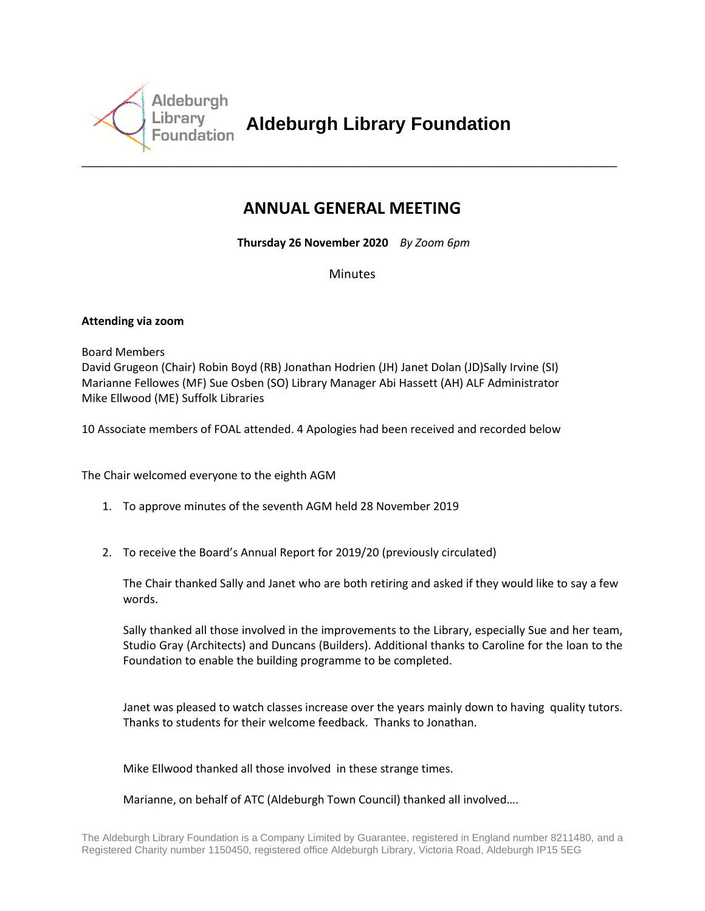

**Aldeburgh Library Foundation** 

## **ANNUAL GENERAL MEETING**

**Thursday 26 November 2020** *By Zoom 6pm*

Minutes

## **Attending via zoom**

Board Members

David Grugeon (Chair) Robin Boyd (RB) Jonathan Hodrien (JH) Janet Dolan (JD)Sally Irvine (SI) Marianne Fellowes (MF) Sue Osben (SO) Library Manager Abi Hassett (AH) ALF Administrator Mike Ellwood (ME) Suffolk Libraries

10 Associate members of FOAL attended. 4 Apologies had been received and recorded below

The Chair welcomed everyone to the eighth AGM

- 1. To approve minutes of the seventh AGM held 28 November 2019
- 2. To receive the Board's Annual Report for 2019/20 (previously circulated)

The Chair thanked Sally and Janet who are both retiring and asked if they would like to say a few words.

Sally thanked all those involved in the improvements to the Library, especially Sue and her team, Studio Gray (Architects) and Duncans (Builders). Additional thanks to Caroline for the loan to the Foundation to enable the building programme to be completed.

Janet was pleased to watch classes increase over the years mainly down to having quality tutors. Thanks to students for their welcome feedback. Thanks to Jonathan.

Mike Ellwood thanked all those involved in these strange times.

Marianne, on behalf of ATC (Aldeburgh Town Council) thanked all involved….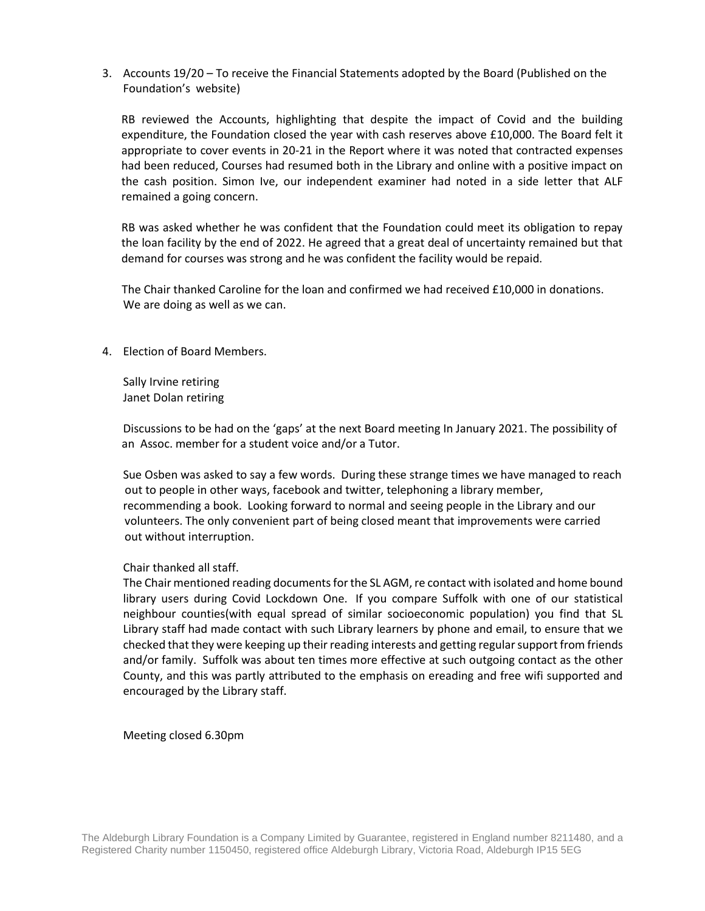3. Accounts 19/20 – To receive the Financial Statements adopted by the Board (Published on the Foundation's website)

RB reviewed the Accounts, highlighting that despite the impact of Covid and the building expenditure, the Foundation closed the year with cash reserves above £10,000. The Board felt it appropriate to cover events in 20-21 in the Report where it was noted that contracted expenses had been reduced, Courses had resumed both in the Library and online with a positive impact on the cash position. Simon Ive, our independent examiner had noted in a side letter that ALF remained a going concern.

RB was asked whether he was confident that the Foundation could meet its obligation to repay the loan facility by the end of 2022. He agreed that a great deal of uncertainty remained but that demand for courses was strong and he was confident the facility would be repaid.

 The Chair thanked Caroline for the loan and confirmed we had received £10,000 in donations. We are doing as well as we can.

4. Election of Board Members.

Sally Irvine retiring Janet Dolan retiring

Discussions to be had on the 'gaps' at the next Board meeting In January 2021. The possibility of an Assoc. member for a student voice and/or a Tutor.

Sue Osben was asked to say a few words. During these strange times we have managed to reach out to people in other ways, facebook and twitter, telephoning a library member, recommending a book. Looking forward to normal and seeing people in the Library and our volunteers. The only convenient part of being closed meant that improvements were carried out without interruption.

## Chair thanked all staff.

The Chair mentioned reading documents for the SL AGM, re contact with isolated and home bound library users during Covid Lockdown One. If you compare Suffolk with one of our statistical neighbour counties(with equal spread of similar socioeconomic population) you find that SL Library staff had made contact with such Library learners by phone and email, to ensure that we checked that they were keeping up their reading interests and getting regular support from friends and/or family. Suffolk was about ten times more effective at such outgoing contact as the other County, and this was partly attributed to the emphasis on ereading and free wifi supported and encouraged by the Library staff.

Meeting closed 6.30pm